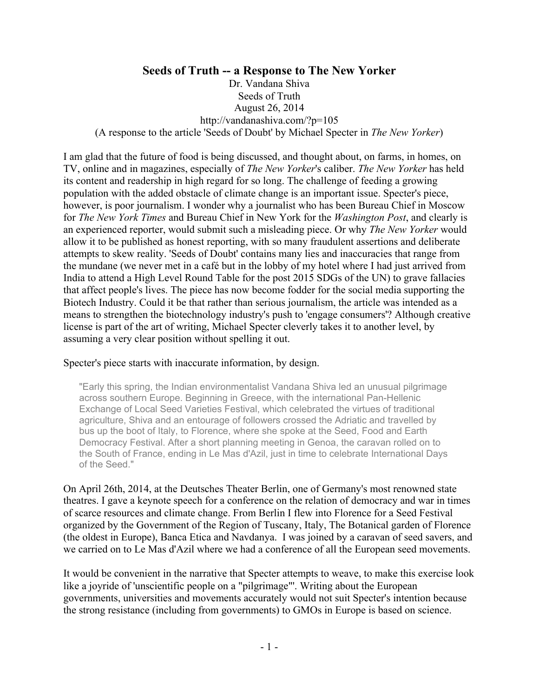# **Seeds of Truth -- a Response to The New Yorker**

Dr. Vandana Shiva Seeds of Truth August 26, 2014 http://vandanashiva.com/?p=105 (A response to the article 'Seeds of Doubt' by Michael Specter in *The New Yorker*)

I am glad that the future of food is being discussed, and thought about, on farms, in homes, on TV, online and in magazines, especially of *The New Yorker*'s caliber. *The New Yorker* has held its content and readership in high regard for so long. The challenge of feeding a growing population with the added obstacle of climate change is an important issue. Specter's piece, however, is poor journalism. I wonder why a journalist who has been Bureau Chief in Moscow for *The New York Times* and Bureau Chief in New York for the *Washington Post*, and clearly is an experienced reporter, would submit such a misleading piece. Or why *The New Yorker* would allow it to be published as honest reporting, with so many fraudulent assertions and deliberate attempts to skew reality. 'Seeds of Doubt' contains many lies and inaccuracies that range from the mundane (we never met in a café but in the lobby of my hotel where I had just arrived from India to attend a High Level Round Table for the post 2015 SDGs of the UN) to grave fallacies that affect people's lives. The piece has now become fodder for the social media supporting the Biotech Industry. Could it be that rather than serious journalism, the article was intended as a means to strengthen the biotechnology industry's push to 'engage consumers'? Although creative license is part of the art of writing, Michael Specter cleverly takes it to another level, by assuming a very clear position without spelling it out.

#### Specter's piece starts with inaccurate information, by design.

"Early this spring, the Indian environmentalist Vandana Shiva led an unusual pilgrimage across southern Europe. Beginning in Greece, with the international Pan-Hellenic Exchange of Local Seed Varieties Festival, which celebrated the virtues of traditional agriculture, Shiva and an entourage of followers crossed the Adriatic and travelled by bus up the boot of Italy, to Florence, where she spoke at the Seed, Food and Earth Democracy Festival. After a short planning meeting in Genoa, the caravan rolled on to the South of France, ending in Le Mas d'Azil, just in time to celebrate International Days of the Seed."

On April 26th, 2014, at the Deutsches Theater Berlin, one of Germany's most renowned state theatres. I gave a keynote speech for a conference on the relation of democracy and war in times of scarce resources and climate change. From Berlin I flew into Florence for a Seed Festival organized by the Government of the Region of Tuscany, Italy, The Botanical garden of Florence (the oldest in Europe), Banca Etica and Navdanya. I was joined by a caravan of seed savers, and we carried on to Le Mas d'Azil where we had a conference of all the European seed movements.

It would be convenient in the narrative that Specter attempts to weave, to make this exercise look like a joyride of 'unscientific people on a "pilgrimage"'. Writing about the European governments, universities and movements accurately would not suit Specter's intention because the strong resistance (including from governments) to GMOs in Europe is based on science.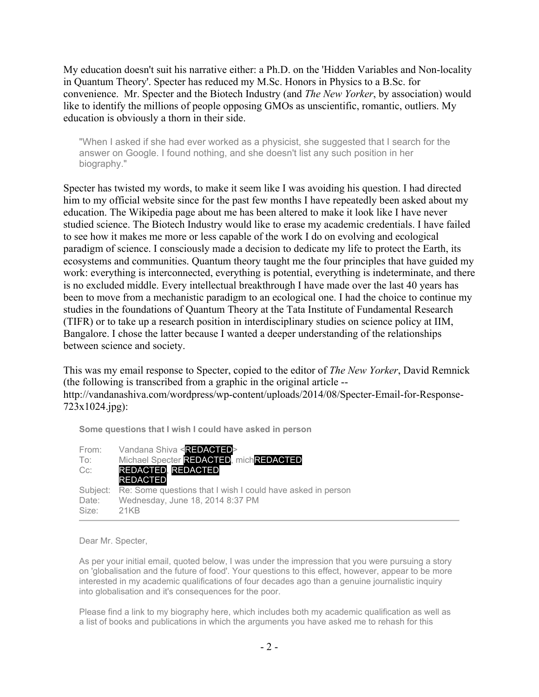My education doesn't suit his narrative either: a Ph.D. on the 'Hidden Variables and Non-locality in Quantum Theory'. Specter has reduced my M.Sc. Honors in Physics to a B.Sc. for convenience. Mr. Specter and the Biotech Industry (and *The New Yorker*, by association) would like to identify the millions of people opposing GMOs as unscientific, romantic, outliers. My education is obviously a thorn in their side.

"When I asked if she had ever worked as a physicist, she suggested that I search for the answer on Google. I found nothing, and she doesn't list any such position in her biography."

Specter has twisted my words, to make it seem like I was avoiding his question. I had directed him to my official website since for the past few months I have repeatedly been asked about my education. The Wikipedia page about me has been altered to make it look like I have never studied science. The Biotech Industry would like to erase my academic credentials. I have failed to see how it makes me more or less capable of the work I do on evolving and ecological paradigm of science. I consciously made a decision to dedicate my life to protect the Earth, its ecosystems and communities. Quantum theory taught me the four principles that have guided my work: everything is interconnected, everything is potential, everything is indeterminate, and there is no excluded middle. Every intellectual breakthrough I have made over the last 40 years has been to move from a mechanistic paradigm to an ecological one. I had the choice to continue my studies in the foundations of Quantum Theory at the Tata Institute of Fundamental Research (TIFR) or to take up a research position in interdisciplinary studies on science policy at IIM, Bangalore. I chose the latter because I wanted a deeper understanding of the relationships between science and society.

This was my email response to Specter, copied to the editor of *The New Yorker*, David Remnick (the following is transcribed from a graphic in the original article - http://vandanashiva.com/wordpress/wp-content/uploads/2014/08/Specter-Email-for-Response-723x1024.jpg):

**Some questions that I wish I could have asked in person**

| Vandana Shiva <redacted></redacted>                                  |
|----------------------------------------------------------------------|
| Michael Specter REDACTED, michREDACTED                               |
| REDACTED, REDACTED                                                   |
| <b>REDACTED</b>                                                      |
| Subject: Re: Some questions that I wish I could have asked in person |
| Wednesday, June 18, 2014 8:37 PM                                     |
| 21KB                                                                 |
|                                                                      |

#### Dear Mr. Specter,

As per your initial email, quoted below, I was under the impression that you were pursuing a story on 'globalisation and the future of food'. Your questions to this effect, however, appear to be more interested in my academic qualifications of four decades ago than a genuine journalistic inquiry into globalisation and it's consequences for the poor.

Please find a link to my biography here, which includes both my academic qualification as well as a list of books and publications in which the arguments you have asked me to rehash for this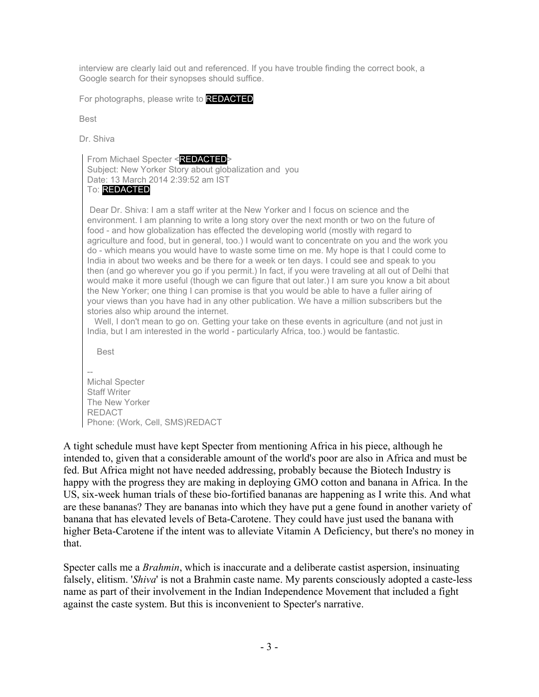interview are clearly laid out and referenced. If you have trouble finding the correct book, a Google search for their synopses should suffice.

For photographs, please write to **REDACTED** 

Best

Dr. Shiva

From Michael Specter <REDACTED>

Subject: New Yorker Story about globalization and you Date: 13 March 2014 2:39:52 am IST

## To: REDACTED

 Dear Dr. Shiva: I am a staff writer at the New Yorker and I focus on science and the environment. I am planning to write a long story over the next month or two on the future of food - and how globalization has effected the developing world (mostly with regard to agriculture and food, but in general, too.) I would want to concentrate on you and the work you do - which means you would have to waste some time on me. My hope is that I could come to India in about two weeks and be there for a week or ten days. I could see and speak to you then (and go wherever you go if you permit.) In fact, if you were traveling at all out of Delhi that would make it more useful (though we can figure that out later.) I am sure you know a bit about the New Yorker; one thing I can promise is that you would be able to have a fuller airing of your views than you have had in any other publication. We have a million subscribers but the stories also whip around the internet.

Well, I don't mean to go on. Getting your take on these events in agriculture (and not just in India, but I am interested in the world - particularly Africa, too.) would be fantastic.

Best

-- Michal Specter Staff Writer The New Yorker REDACT Phone: (Work, Cell, SMS)REDACT

A tight schedule must have kept Specter from mentioning Africa in his piece, although he intended to, given that a considerable amount of the world's poor are also in Africa and must be fed. But Africa might not have needed addressing, probably because the Biotech Industry is happy with the progress they are making in deploying GMO cotton and banana in Africa. In the US, six-week human trials of these bio-fortified bananas are happening as I write this. And what are these bananas? They are bananas into which they have put a gene found in another variety of banana that has elevated levels of Beta-Carotene. They could have just used the banana with higher Beta-Carotene if the intent was to alleviate Vitamin A Deficiency, but there's no money in that.

Specter calls me a *Brahmin*, which is inaccurate and a deliberate castist aspersion, insinuating falsely, elitism. '*Shiva*' is not a Brahmin caste name. My parents consciously adopted a caste-less name as part of their involvement in the Indian Independence Movement that included a fight against the caste system. But this is inconvenient to Specter's narrative.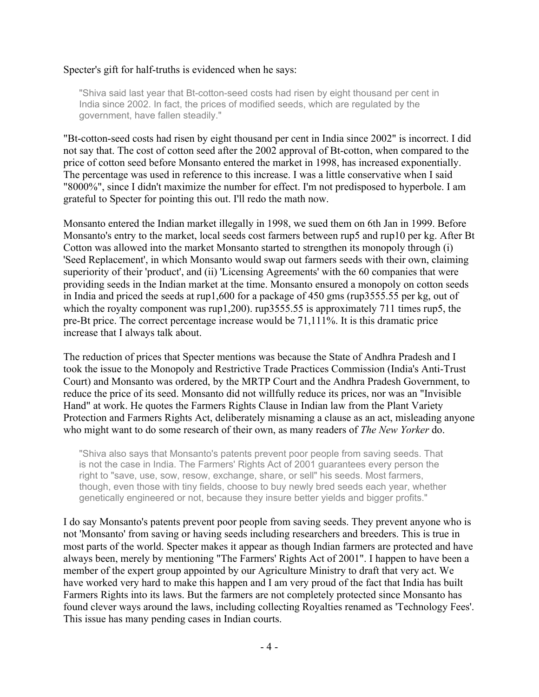#### Specter's gift for half-truths is evidenced when he says:

"Shiva said last year that Bt-cotton-seed costs had risen by eight thousand per cent in India since 2002. In fact, the prices of modified seeds, which are regulated by the government, have fallen steadily."

"Bt-cotton-seed costs had risen by eight thousand per cent in India since 2002" is incorrect. I did not say that. The cost of cotton seed after the 2002 approval of Bt-cotton, when compared to the price of cotton seed before Monsanto entered the market in 1998, has increased exponentially. The percentage was used in reference to this increase. I was a little conservative when I said "8000%", since I didn't maximize the number for effect. I'm not predisposed to hyperbole. I am grateful to Specter for pointing this out. I'll redo the math now.

Monsanto entered the Indian market illegally in 1998, we sued them on 6th Jan in 1999. Before Monsanto's entry to the market, local seeds cost farmers between rup5 and rup10 per kg. After Bt Cotton was allowed into the market Monsanto started to strengthen its monopoly through (i) 'Seed Replacement', in which Monsanto would swap out farmers seeds with their own, claiming superiority of their 'product', and (ii) 'Licensing Agreements' with the 60 companies that were providing seeds in the Indian market at the time. Monsanto ensured a monopoly on cotton seeds in India and priced the seeds at rup1,600 for a package of 450 gms (rup3555.55 per kg, out of which the royalty component was rup1,200). rup3555.55 is approximately 711 times rup5, the pre-Bt price. The correct percentage increase would be 71,111%. It is this dramatic price increase that I always talk about.

The reduction of prices that Specter mentions was because the State of Andhra Pradesh and I took the issue to the Monopoly and Restrictive Trade Practices Commission (India's Anti-Trust Court) and Monsanto was ordered, by the MRTP Court and the Andhra Pradesh Government, to reduce the price of its seed. Monsanto did not willfully reduce its prices, nor was an "Invisible Hand" at work. He quotes the Farmers Rights Clause in Indian law from the Plant Variety Protection and Farmers Rights Act, deliberately misnaming a clause as an act, misleading anyone who might want to do some research of their own, as many readers of *The New Yorker* do.

"Shiva also says that Monsanto's patents prevent poor people from saving seeds. That is not the case in India. The Farmers' Rights Act of 2001 guarantees every person the right to "save, use, sow, resow, exchange, share, or sell" his seeds. Most farmers, though, even those with tiny fields, choose to buy newly bred seeds each year, whether genetically engineered or not, because they insure better yields and bigger profits."

I do say Monsanto's patents prevent poor people from saving seeds. They prevent anyone who is not 'Monsanto' from saving or having seeds including researchers and breeders. This is true in most parts of the world. Specter makes it appear as though Indian farmers are protected and have always been, merely by mentioning "The Farmers' Rights Act of 2001". I happen to have been a member of the expert group appointed by our Agriculture Ministry to draft that very act. We have worked very hard to make this happen and I am very proud of the fact that India has built Farmers Rights into its laws. But the farmers are not completely protected since Monsanto has found clever ways around the laws, including collecting Royalties renamed as 'Technology Fees'. This issue has many pending cases in Indian courts.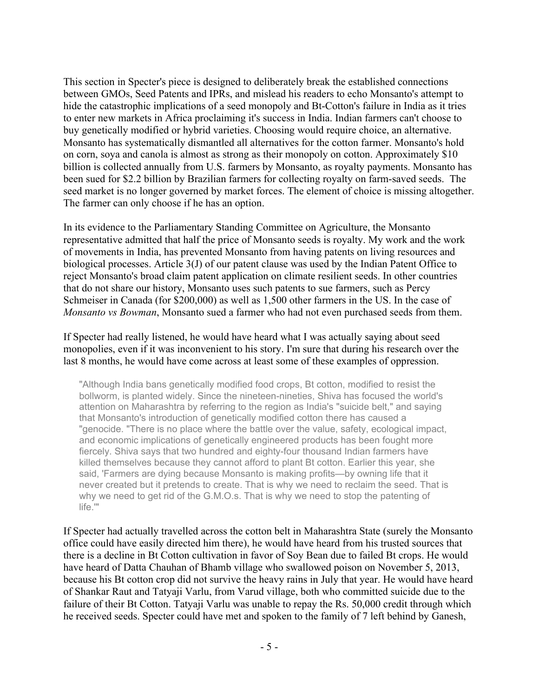This section in Specter's piece is designed to deliberately break the established connections between GMOs, Seed Patents and IPRs, and mislead his readers to echo Monsanto's attempt to hide the catastrophic implications of a seed monopoly and Bt-Cotton's failure in India as it tries to enter new markets in Africa proclaiming it's success in India. Indian farmers can't choose to buy genetically modified or hybrid varieties. Choosing would require choice, an alternative. Monsanto has systematically dismantled all alternatives for the cotton farmer. Monsanto's hold on corn, soya and canola is almost as strong as their monopoly on cotton. Approximately \$10 billion is collected annually from U.S. farmers by Monsanto, as royalty payments. Monsanto has been sued for \$2.2 billion by Brazilian farmers for collecting royalty on farm-saved seeds. The seed market is no longer governed by market forces. The element of choice is missing altogether. The farmer can only choose if he has an option.

In its evidence to the Parliamentary Standing Committee on Agriculture, the Monsanto representative admitted that half the price of Monsanto seeds is royalty. My work and the work of movements in India, has prevented Monsanto from having patents on living resources and biological processes. Article 3(J) of our patent clause was used by the Indian Patent Office to reject Monsanto's broad claim patent application on climate resilient seeds. In other countries that do not share our history, Monsanto uses such patents to sue farmers, such as Percy Schmeiser in Canada (for \$200,000) as well as 1,500 other farmers in the US. In the case of *Monsanto vs Bowman*, Monsanto sued a farmer who had not even purchased seeds from them.

If Specter had really listened, he would have heard what I was actually saying about seed monopolies, even if it was inconvenient to his story. I'm sure that during his research over the last 8 months, he would have come across at least some of these examples of oppression.

"Although India bans genetically modified food crops, Bt cotton, modified to resist the bollworm, is planted widely. Since the nineteen-nineties, Shiva has focused the world's attention on Maharashtra by referring to the region as India's "suicide belt," and saying that Monsanto's introduction of genetically modified cotton there has caused a "genocide. "There is no place where the battle over the value, safety, ecological impact, and economic implications of genetically engineered products has been fought more fiercely. Shiva says that two hundred and eighty-four thousand Indian farmers have killed themselves because they cannot afford to plant Bt cotton. Earlier this year, she said, 'Farmers are dying because Monsanto is making profits—by owning life that it never created but it pretends to create. That is why we need to reclaim the seed. That is why we need to get rid of the G.M.O.s. That is why we need to stop the patenting of life.'"

If Specter had actually travelled across the cotton belt in Maharashtra State (surely the Monsanto office could have easily directed him there), he would have heard from his trusted sources that there is a decline in Bt Cotton cultivation in favor of Soy Bean due to failed Bt crops. He would have heard of Datta Chauhan of Bhamb village who swallowed poison on November 5, 2013, because his Bt cotton crop did not survive the heavy rains in July that year. He would have heard of Shankar Raut and Tatyaji Varlu, from Varud village, both who committed suicide due to the failure of their Bt Cotton. Tatyaji Varlu was unable to repay the Rs. 50,000 credit through which he received seeds. Specter could have met and spoken to the family of 7 left behind by Ganesh,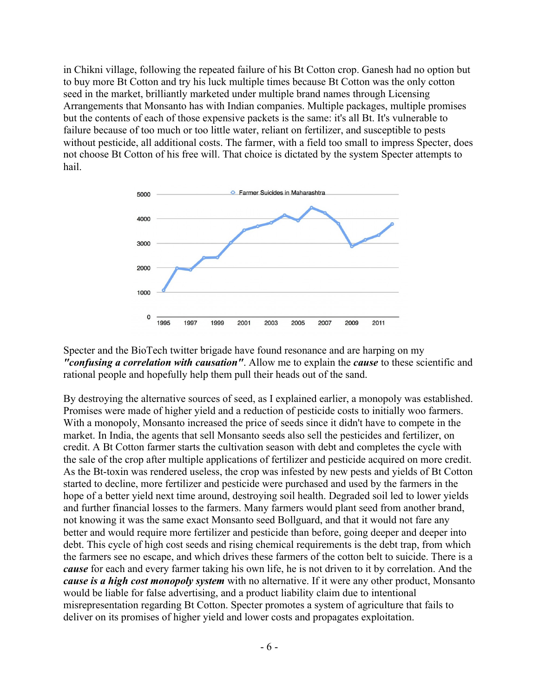in Chikni village, following the repeated failure of his Bt Cotton crop. Ganesh had no option but to buy more Bt Cotton and try his luck multiple times because Bt Cotton was the only cotton seed in the market, brilliantly marketed under multiple brand names through Licensing Arrangements that Monsanto has with Indian companies. Multiple packages, multiple promises but the contents of each of those expensive packets is the same: it's all Bt. It's vulnerable to failure because of too much or too little water, reliant on fertilizer, and susceptible to pests without pesticide, all additional costs. The farmer, with a field too small to impress Specter, does not choose Bt Cotton of his free will. That choice is dictated by the system Specter attempts to hail.



Specter and the BioTech twitter brigade have found resonance and are harping on my *"confusing a correlation with causation"*. Allow me to explain the *cause* to these scientific and rational people and hopefully help them pull their heads out of the sand.

By destroying the alternative sources of seed, as I explained earlier, a monopoly was established. Promises were made of higher yield and a reduction of pesticide costs to initially woo farmers. With a monopoly, Monsanto increased the price of seeds since it didn't have to compete in the market. In India, the agents that sell Monsanto seeds also sell the pesticides and fertilizer, on credit. A Bt Cotton farmer starts the cultivation season with debt and completes the cycle with the sale of the crop after multiple applications of fertilizer and pesticide acquired on more credit. As the Bt-toxin was rendered useless, the crop was infested by new pests and yields of Bt Cotton started to decline, more fertilizer and pesticide were purchased and used by the farmers in the hope of a better yield next time around, destroying soil health. Degraded soil led to lower yields and further financial losses to the farmers. Many farmers would plant seed from another brand, not knowing it was the same exact Monsanto seed Bollguard, and that it would not fare any better and would require more fertilizer and pesticide than before, going deeper and deeper into debt. This cycle of high cost seeds and rising chemical requirements is the debt trap, from which the farmers see no escape, and which drives these farmers of the cotton belt to suicide. There is a *cause* for each and every farmer taking his own life, he is not driven to it by correlation. And the *cause is a high cost monopoly system* with no alternative. If it were any other product, Monsanto would be liable for false advertising, and a product liability claim due to intentional misrepresentation regarding Bt Cotton. Specter promotes a system of agriculture that fails to deliver on its promises of higher yield and lower costs and propagates exploitation.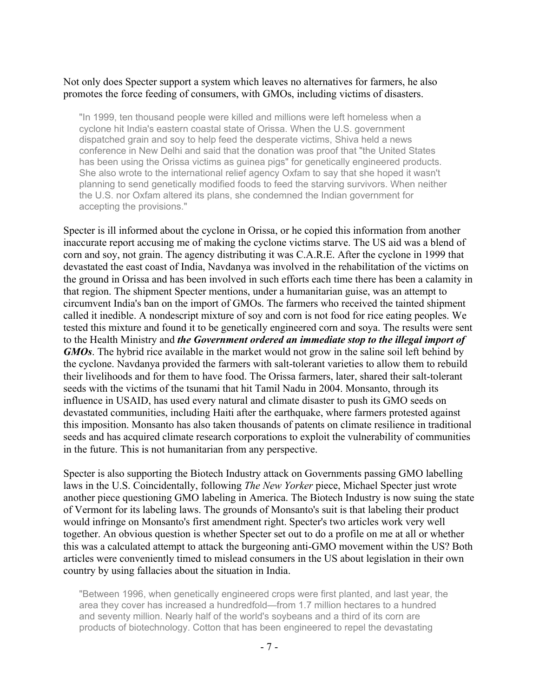## Not only does Specter support a system which leaves no alternatives for farmers, he also promotes the force feeding of consumers, with GMOs, including victims of disasters.

"In 1999, ten thousand people were killed and millions were left homeless when a cyclone hit India's eastern coastal state of Orissa. When the U.S. government dispatched grain and soy to help feed the desperate victims, Shiva held a news conference in New Delhi and said that the donation was proof that "the United States has been using the Orissa victims as guinea pigs" for genetically engineered products. She also wrote to the international relief agency Oxfam to say that she hoped it wasn't planning to send genetically modified foods to feed the starving survivors. When neither the U.S. nor Oxfam altered its plans, she condemned the Indian government for accepting the provisions."

Specter is ill informed about the cyclone in Orissa, or he copied this information from another inaccurate report accusing me of making the cyclone victims starve. The US aid was a blend of corn and soy, not grain. The agency distributing it was C.A.R.E. After the cyclone in 1999 that devastated the east coast of India, Navdanya was involved in the rehabilitation of the victims on the ground in Orissa and has been involved in such efforts each time there has been a calamity in that region. The shipment Specter mentions, under a humanitarian guise, was an attempt to circumvent India's ban on the import of GMOs. The farmers who received the tainted shipment called it inedible. A nondescript mixture of soy and corn is not food for rice eating peoples. We tested this mixture and found it to be genetically engineered corn and soya. The results were sent to the Health Ministry and *the Government ordered an immediate stop to the illegal import of GMOs*. The hybrid rice available in the market would not grow in the saline soil left behind by the cyclone. Navdanya provided the farmers with salt-tolerant varieties to allow them to rebuild their livelihoods and for them to have food. The Orissa farmers, later, shared their salt-tolerant seeds with the victims of the tsunami that hit Tamil Nadu in 2004. Monsanto, through its influence in USAID, has used every natural and climate disaster to push its GMO seeds on devastated communities, including Haiti after the earthquake, where farmers protested against this imposition. Monsanto has also taken thousands of patents on climate resilience in traditional seeds and has acquired climate research corporations to exploit the vulnerability of communities in the future. This is not humanitarian from any perspective.

Specter is also supporting the Biotech Industry attack on Governments passing GMO labelling laws in the U.S. Coincidentally, following *The New Yorker* piece, Michael Specter just wrote another piece questioning GMO labeling in America. The Biotech Industry is now suing the state of Vermont for its labeling laws. The grounds of Monsanto's suit is that labeling their product would infringe on Monsanto's first amendment right. Specter's two articles work very well together. An obvious question is whether Specter set out to do a profile on me at all or whether this was a calculated attempt to attack the burgeoning anti-GMO movement within the US? Both articles were conveniently timed to mislead consumers in the US about legislation in their own country by using fallacies about the situation in India.

"Between 1996, when genetically engineered crops were first planted, and last year, the area they cover has increased a hundredfold—from 1.7 million hectares to a hundred and seventy million. Nearly half of the world's soybeans and a third of its corn are products of biotechnology. Cotton that has been engineered to repel the devastating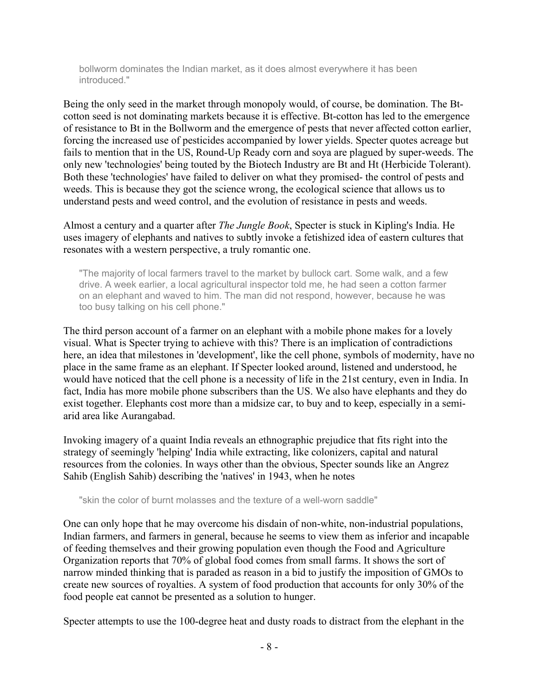bollworm dominates the Indian market, as it does almost everywhere it has been introduced."

Being the only seed in the market through monopoly would, of course, be domination. The Btcotton seed is not dominating markets because it is effective. Bt-cotton has led to the emergence of resistance to Bt in the Bollworm and the emergence of pests that never affected cotton earlier, forcing the increased use of pesticides accompanied by lower yields. Specter quotes acreage but fails to mention that in the US, Round-Up Ready corn and soya are plagued by super-weeds. The only new 'technologies' being touted by the Biotech Industry are Bt and Ht (Herbicide Tolerant). Both these 'technologies' have failed to deliver on what they promised- the control of pests and weeds. This is because they got the science wrong, the ecological science that allows us to understand pests and weed control, and the evolution of resistance in pests and weeds.

Almost a century and a quarter after *The Jungle Book*, Specter is stuck in Kipling's India. He uses imagery of elephants and natives to subtly invoke a fetishized idea of eastern cultures that resonates with a western perspective, a truly romantic one.

"The majority of local farmers travel to the market by bullock cart. Some walk, and a few drive. A week earlier, a local agricultural inspector told me, he had seen a cotton farmer on an elephant and waved to him. The man did not respond, however, because he was too busy talking on his cell phone."

The third person account of a farmer on an elephant with a mobile phone makes for a lovely visual. What is Specter trying to achieve with this? There is an implication of contradictions here, an idea that milestones in 'development', like the cell phone, symbols of modernity, have no place in the same frame as an elephant. If Specter looked around, listened and understood, he would have noticed that the cell phone is a necessity of life in the 21st century, even in India. In fact, India has more mobile phone subscribers than the US. We also have elephants and they do exist together. Elephants cost more than a midsize car, to buy and to keep, especially in a semiarid area like Aurangabad.

Invoking imagery of a quaint India reveals an ethnographic prejudice that fits right into the strategy of seemingly 'helping' India while extracting, like colonizers, capital and natural resources from the colonies. In ways other than the obvious, Specter sounds like an Angrez Sahib (English Sahib) describing the 'natives' in 1943, when he notes

"skin the color of burnt molasses and the texture of a well-worn saddle"

One can only hope that he may overcome his disdain of non-white, non-industrial populations, Indian farmers, and farmers in general, because he seems to view them as inferior and incapable of feeding themselves and their growing population even though the Food and Agriculture Organization reports that 70% of global food comes from small farms. It shows the sort of narrow minded thinking that is paraded as reason in a bid to justify the imposition of GMOs to create new sources of royalties. A system of food production that accounts for only 30% of the food people eat cannot be presented as a solution to hunger.

Specter attempts to use the 100-degree heat and dusty roads to distract from the elephant in the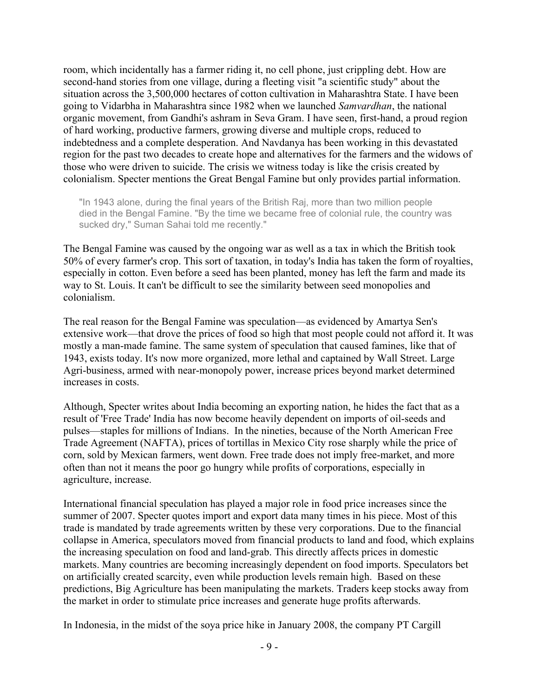room, which incidentally has a farmer riding it, no cell phone, just crippling debt. How are second-hand stories from one village, during a fleeting visit "a scientific study" about the situation across the 3,500,000 hectares of cotton cultivation in Maharashtra State. I have been going to Vidarbha in Maharashtra since 1982 when we launched *Samvardhan*, the national organic movement, from Gandhi's ashram in Seva Gram. I have seen, first-hand, a proud region of hard working, productive farmers, growing diverse and multiple crops, reduced to indebtedness and a complete desperation. And Navdanya has been working in this devastated region for the past two decades to create hope and alternatives for the farmers and the widows of those who were driven to suicide. The crisis we witness today is like the crisis created by colonialism. Specter mentions the Great Bengal Famine but only provides partial information.

"In 1943 alone, during the final years of the British Raj, more than two million people died in the Bengal Famine. "By the time we became free of colonial rule, the country was sucked dry," Suman Sahai told me recently."

The Bengal Famine was caused by the ongoing war as well as a tax in which the British took 50% of every farmer's crop. This sort of taxation, in today's India has taken the form of royalties, especially in cotton. Even before a seed has been planted, money has left the farm and made its way to St. Louis. It can't be difficult to see the similarity between seed monopolies and colonialism.

The real reason for the Bengal Famine was speculation—as evidenced by Amartya Sen's extensive work—that drove the prices of food so high that most people could not afford it. It was mostly a man-made famine. The same system of speculation that caused famines, like that of 1943, exists today. It's now more organized, more lethal and captained by Wall Street. Large Agri-business, armed with near-monopoly power, increase prices beyond market determined increases in costs.

Although, Specter writes about India becoming an exporting nation, he hides the fact that as a result of 'Free Trade' India has now become heavily dependent on imports of oil-seeds and pulses—staples for millions of Indians. In the nineties, because of the North American Free Trade Agreement (NAFTA), prices of tortillas in Mexico City rose sharply while the price of corn, sold by Mexican farmers, went down. Free trade does not imply free-market, and more often than not it means the poor go hungry while profits of corporations, especially in agriculture, increase.

International financial speculation has played a major role in food price increases since the summer of 2007. Specter quotes import and export data many times in his piece. Most of this trade is mandated by trade agreements written by these very corporations. Due to the financial collapse in America, speculators moved from financial products to land and food, which explains the increasing speculation on food and land-grab. This directly affects prices in domestic markets. Many countries are becoming increasingly dependent on food imports. Speculators bet on artificially created scarcity, even while production levels remain high. Based on these predictions, Big Agriculture has been manipulating the markets. Traders keep stocks away from the market in order to stimulate price increases and generate huge profits afterwards.

In Indonesia, in the midst of the soya price hike in January 2008, the company PT Cargill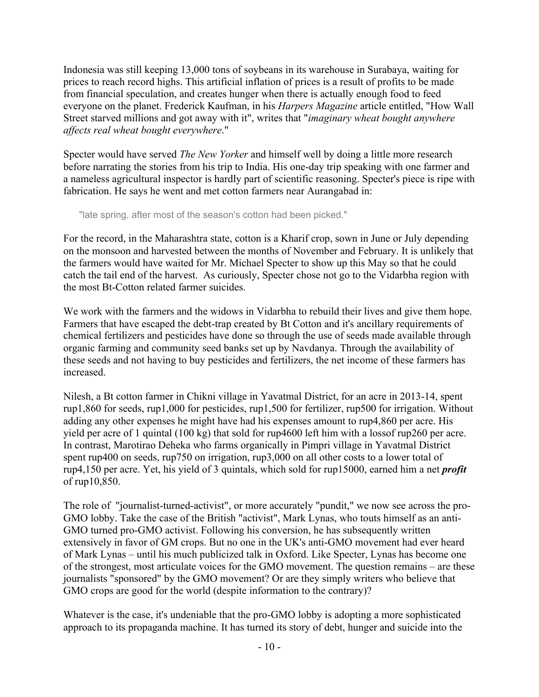Indonesia was still keeping 13,000 tons of soybeans in its warehouse in Surabaya, waiting for prices to reach record highs. This artificial inflation of prices is a result of profits to be made from financial speculation, and creates hunger when there is actually enough food to feed everyone on the planet. Frederick Kaufman, in his *Harpers Magazine* article entitled, "How Wall Street starved millions and got away with it", writes that "*imaginary wheat bought anywhere affects real wheat bought everywhere*."

Specter would have served *The New Yorker* and himself well by doing a little more research before narrating the stories from his trip to India. His one-day trip speaking with one farmer and a nameless agricultural inspector is hardly part of scientific reasoning. Specter's piece is ripe with fabrication. He says he went and met cotton farmers near Aurangabad in:

"late spring, after most of the season's cotton had been picked."

For the record, in the Maharashtra state, cotton is a Kharif crop, sown in June or July depending on the monsoon and harvested between the months of November and February. It is unlikely that the farmers would have waited for Mr. Michael Specter to show up this May so that he could catch the tail end of the harvest. As curiously, Specter chose not go to the Vidarbha region with the most Bt-Cotton related farmer suicides.

We work with the farmers and the widows in Vidarbha to rebuild their lives and give them hope. Farmers that have escaped the debt-trap created by Bt Cotton and it's ancillary requirements of chemical fertilizers and pesticides have done so through the use of seeds made available through organic farming and community seed banks set up by Navdanya. Through the availability of these seeds and not having to buy pesticides and fertilizers, the net income of these farmers has increased.

Nilesh, a Bt cotton farmer in Chikni village in Yavatmal District, for an acre in 2013-14, spent rup1,860 for seeds, rup1,000 for pesticides, rup1,500 for fertilizer, rup500 for irrigation. Without adding any other expenses he might have had his expenses amount to rup4,860 per acre. His yield per acre of 1 quintal (100 kg) that sold for rup4600 left him with a lossof rup260 per acre. In contrast, Marotirao Deheka who farms organically in Pimpri village in Yavatmal District spent rup400 on seeds, rup750 on irrigation, rup3,000 on all other costs to a lower total of rup4,150 per acre. Yet, his yield of 3 quintals, which sold for rup15000, earned him a net *profit* of rup10,850.

The role of "journalist-turned-activist", or more accurately "pundit," we now see across the pro-GMO lobby. Take the case of the British "activist", Mark Lynas, who touts himself as an anti-GMO turned pro-GMO activist. Following his conversion, he has subsequently written extensively in favor of GM crops. But no one in the UK's anti-GMO movement had ever heard of Mark Lynas – until his much publicized talk in Oxford. Like Specter, Lynas has become one of the strongest, most articulate voices for the GMO movement. The question remains – are these journalists "sponsored" by the GMO movement? Or are they simply writers who believe that GMO crops are good for the world (despite information to the contrary)?

Whatever is the case, it's undeniable that the pro-GMO lobby is adopting a more sophisticated approach to its propaganda machine. It has turned its story of debt, hunger and suicide into the